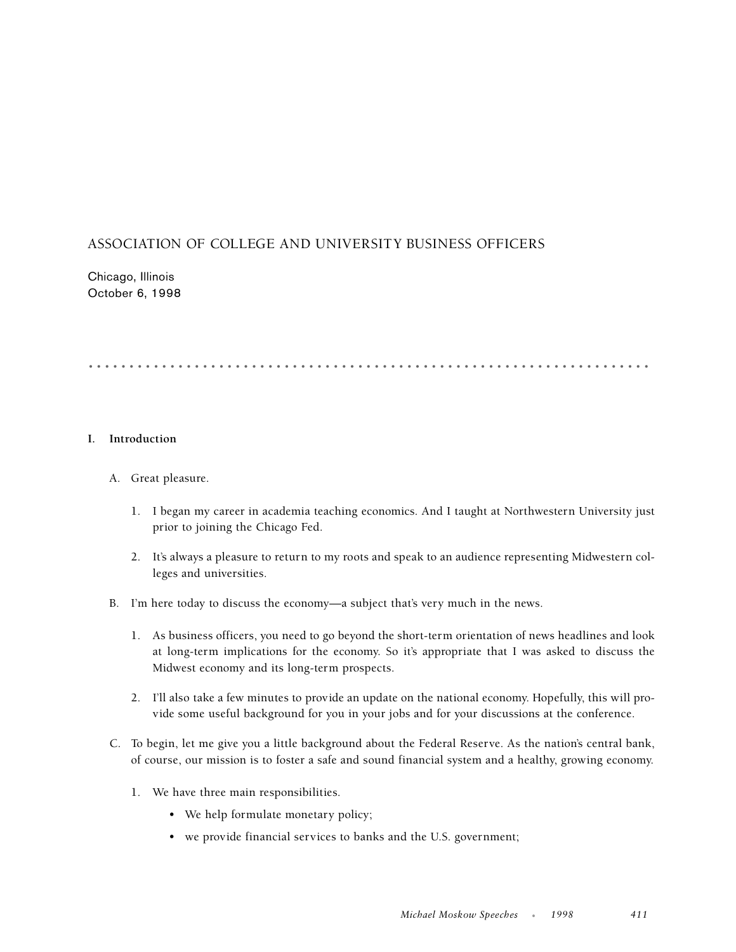# ASSOCIATION OF COLLEGE AND UNIVERSITY BUSINESS OFFICERS

Chicago, Illinois October 6, 1998

# .....................................................................

## **I. Introduction**

- A. Great pleasure.
	- 1. I began my career in academia teaching economics. And I taught at Northwestern University just prior to joining the Chicago Fed.
	- 2. It's always a pleasure to return to my roots and speak to an audience representing Midwestern colleges and universities.
- B. I'm here today to discuss the economy—a subject that's very much in the news.
	- 1. As business officers, you need to go beyond the short-term orientation of news headlines and look at long-term implications for the economy. So it's appropriate that I was asked to discuss the Midwest economy and its long-term prospects.
	- 2. I'll also take a few minutes to provide an update on the national economy. Hopefully, this will provide some useful background for you in your jobs and for your discussions at the conference.
- C. To begin, let me give you a little background about the Federal Reserve. As the nation's central bank, of course, our mission is to foster a safe and sound financial system and a healthy, growing economy.
	- 1. We have three main responsibilities.
		- We help formulate monetary policy;
		- we provide financial services to banks and the U.S. government;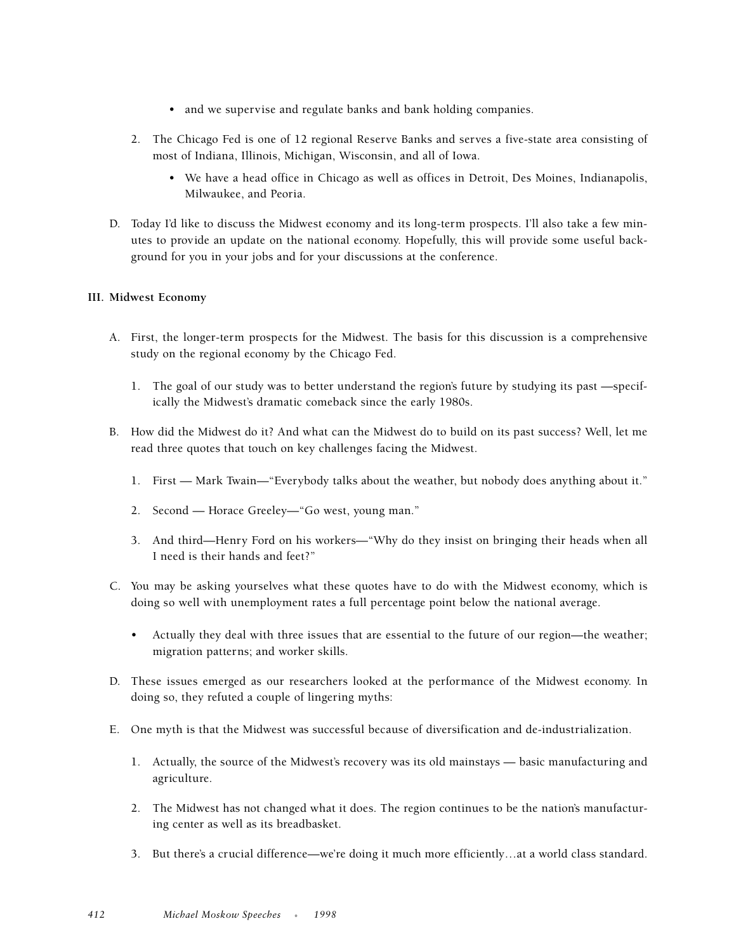- and we supervise and regulate banks and bank holding companies.
- 2. The Chicago Fed is one of 12 regional Reserve Banks and serves a five-state area consisting of most of Indiana, Illinois, Michigan, Wisconsin, and all of Iowa.
	- We have a head office in Chicago as well as offices in Detroit, Des Moines, Indianapolis, Milwaukee, and Peoria.
- D. Today I'd like to discuss the Midwest economy and its long-term prospects. I'll also take a few minutes to provide an update on the national economy. Hopefully, this will provide some useful background for you in your jobs and for your discussions at the conference.

### **III. Midwest Economy**

- A. First, the longer-term prospects for the Midwest. The basis for this discussion is a comprehensive study on the regional economy by the Chicago Fed.
	- 1. The goal of our study was to better understand the region's future by studying its past —specifically the Midwest's dramatic comeback since the early 1980s.
- B. How did the Midwest do it? And what can the Midwest do to build on its past success? Well, let me read three quotes that touch on key challenges facing the Midwest.
	- 1. First Mark Twain—"Everybody talks about the weather, but nobody does anything about it."
	- 2. Second Horace Greeley—"Go west, young man."
	- 3. And third—Henry Ford on his workers—"Why do they insist on bringing their heads when all I need is their hands and feet?"
- C. You may be asking yourselves what these quotes have to do with the Midwest economy, which is doing so well with unemployment rates a full percentage point below the national average.
	- Actually they deal with three issues that are essential to the future of our region—the weather; migration patterns; and worker skills.
- D. These issues emerged as our researchers looked at the performance of the Midwest economy. In doing so, they refuted a couple of lingering myths:
- E. One myth is that the Midwest was successful because of diversification and de-industrialization.
	- 1. Actually, the source of the Midwest's recovery was its old mainstays basic manufacturing and agriculture.
	- 2. The Midwest has not changed what it does. The region continues to be the nation's manufacturing center as well as its breadbasket.
	- 3. But there's a crucial difference—we're doing it much more efficiently…at a world class standard.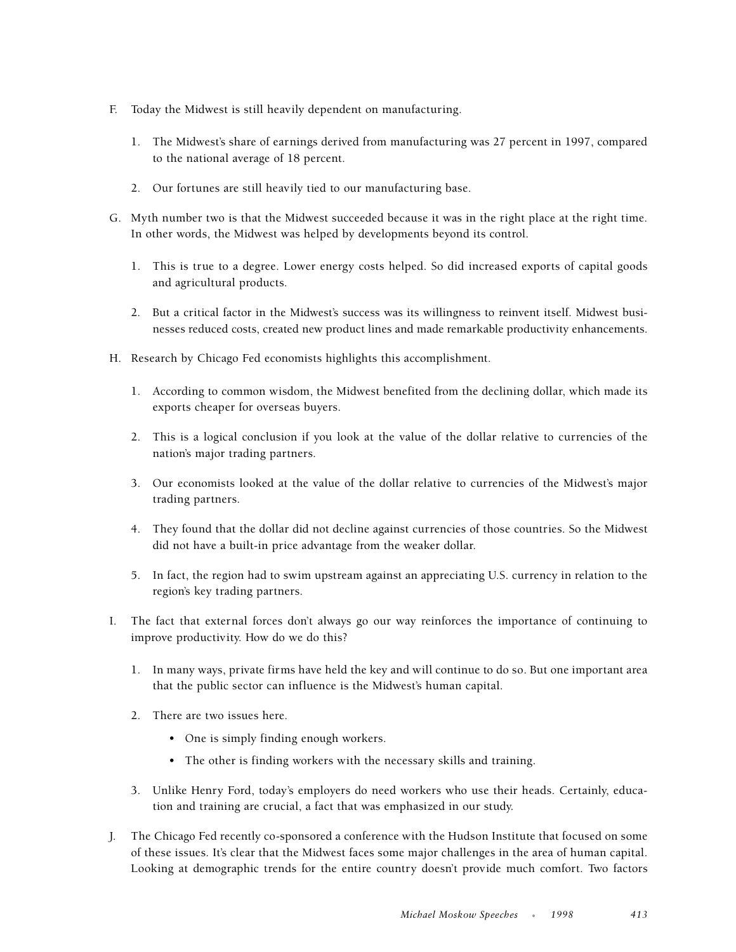- F. Today the Midwest is still heavily dependent on manufacturing.
	- 1. The Midwest's share of earnings derived from manufacturing was 27 percent in 1997, compared to the national average of 18 percent.
	- 2. Our fortunes are still heavily tied to our manufacturing base.
- G. Myth number two is that the Midwest succeeded because it was in the right place at the right time. In other words, the Midwest was helped by developments beyond its control.
	- 1. This is true to a degree. Lower energy costs helped. So did increased exports of capital goods and agricultural products.
	- 2. But a critical factor in the Midwest's success was its willingness to reinvent itself. Midwest businesses reduced costs, created new product lines and made remarkable productivity enhancements.
- H. Research by Chicago Fed economists highlights this accomplishment.
	- 1. According to common wisdom, the Midwest benefited from the declining dollar, which made its exports cheaper for overseas buyers.
	- 2. This is a logical conclusion if you look at the value of the dollar relative to currencies of the nation's major trading partners.
	- 3. Our economists looked at the value of the dollar relative to currencies of the Midwest's major trading partners.
	- 4. They found that the dollar did not decline against currencies of those countries. So the Midwest did not have a built-in price advantage from the weaker dollar.
	- 5. In fact, the region had to swim upstream against an appreciating U.S. currency in relation to the region's key trading partners.
- I. The fact that external forces don't always go our way reinforces the importance of continuing to improve productivity. How do we do this?
	- 1. In many ways, private firms have held the key and will continue to do so. But one important area that the public sector can influence is the Midwest's human capital.
	- 2. There are two issues here.
		- One is simply finding enough workers.
		- The other is finding workers with the necessary skills and training.
	- 3. Unlike Henry Ford, today's employers do need workers who use their heads. Certainly, education and training are crucial, a fact that was emphasized in our study.
- J. The Chicago Fed recently co-sponsored a conference with the Hudson Institute that focused on some of these issues. It's clear that the Midwest faces some major challenges in the area of human capital. Looking at demographic trends for the entire country doesn't provide much comfort. Two factors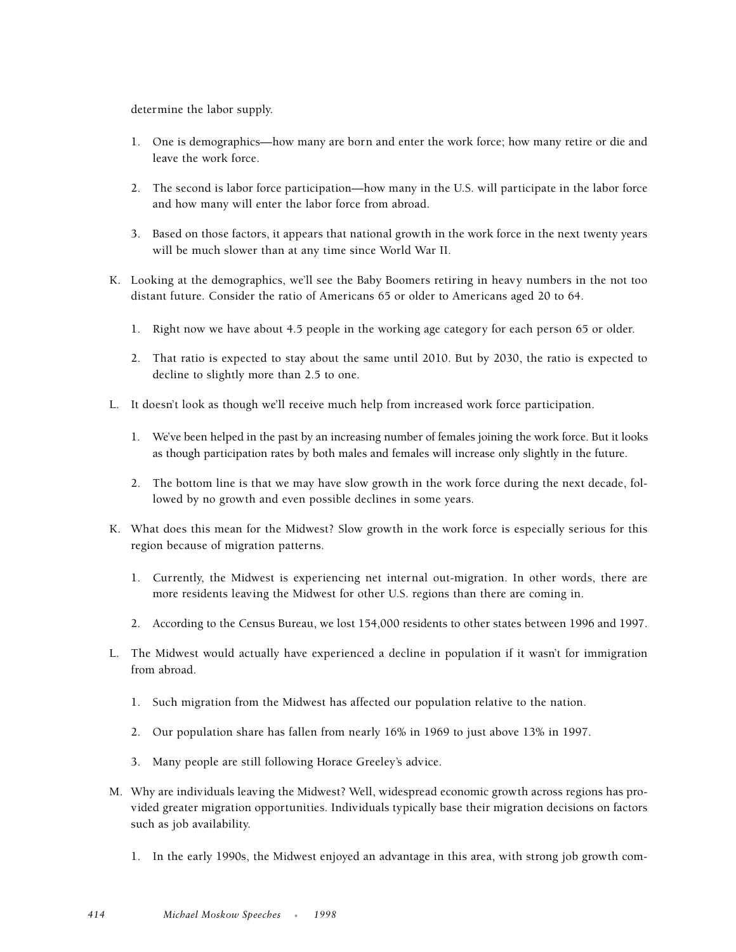determine the labor supply.

- 1. One is demographics—how many are born and enter the work force; how many retire or die and leave the work force.
- 2. The second is labor force participation—how many in the U.S. will participate in the labor force and how many will enter the labor force from abroad.
- 3. Based on those factors, it appears that national growth in the work force in the next twenty years will be much slower than at any time since World War II.
- K. Looking at the demographics, we'll see the Baby Boomers retiring in heavy numbers in the not too distant future. Consider the ratio of Americans 65 or older to Americans aged 20 to 64.
	- 1. Right now we have about 4.5 people in the working age category for each person 65 or older.
	- 2. That ratio is expected to stay about the same until 2010. But by 2030, the ratio is expected to decline to slightly more than 2.5 to one.
- L. It doesn't look as though we'll receive much help from increased work force participation.
	- 1. We've been helped in the past by an increasing number of females joining the work force. But it looks as though participation rates by both males and females will increase only slightly in the future.
	- 2. The bottom line is that we may have slow growth in the work force during the next decade, followed by no growth and even possible declines in some years.
- K. What does this mean for the Midwest? Slow growth in the work force is especially serious for this region because of migration patterns.
	- 1. Currently, the Midwest is experiencing net internal out-migration. In other words, there are more residents leaving the Midwest for other U.S. regions than there are coming in.
	- 2. According to the Census Bureau, we lost 154,000 residents to other states between 1996 and 1997.
- L. The Midwest would actually have experienced a decline in population if it wasn't for immigration from abroad.
	- 1. Such migration from the Midwest has affected our population relative to the nation.
	- 2. Our population share has fallen from nearly 16% in 1969 to just above 13% in 1997.
	- 3. Many people are still following Horace Greeley's advice.
- M. Why are individuals leaving the Midwest? Well, widespread economic growth across regions has provided greater migration opportunities. Individuals typically base their migration decisions on factors such as job availability.
	- 1. In the early 1990s, the Midwest enjoyed an advantage in this area, with strong job growth com-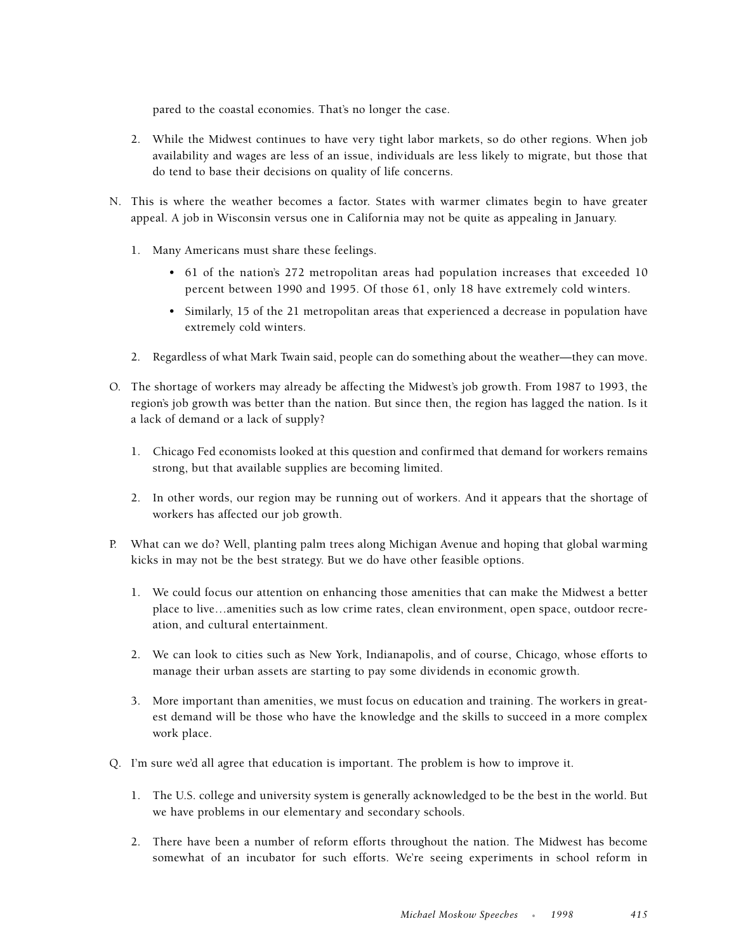pared to the coastal economies. That's no longer the case.

- 2. While the Midwest continues to have very tight labor markets, so do other regions. When job availability and wages are less of an issue, individuals are less likely to migrate, but those that do tend to base their decisions on quality of life concerns.
- N. This is where the weather becomes a factor. States with warmer climates begin to have greater appeal. A job in Wisconsin versus one in California may not be quite as appealing in January.
	- 1. Many Americans must share these feelings.
		- 61 of the nation's 272 metropolitan areas had population increases that exceeded 10 percent between 1990 and 1995. Of those 61, only 18 have extremely cold winters.
		- Similarly, 15 of the 21 metropolitan areas that experienced a decrease in population have extremely cold winters.
	- 2. Regardless of what Mark Twain said, people can do something about the weather—they can move.
- O. The shortage of workers may already be affecting the Midwest's job growth. From 1987 to 1993, the region's job growth was better than the nation. But since then, the region has lagged the nation. Is it a lack of demand or a lack of supply?
	- 1. Chicago Fed economists looked at this question and confirmed that demand for workers remains strong, but that available supplies are becoming limited.
	- 2. In other words, our region may be running out of workers. And it appears that the shortage of workers has affected our job growth.
- P. What can we do? Well, planting palm trees along Michigan Avenue and hoping that global warming kicks in may not be the best strategy. But we do have other feasible options.
	- 1. We could focus our attention on enhancing those amenities that can make the Midwest a better place to live…amenities such as low crime rates, clean environment, open space, outdoor recreation, and cultural entertainment.
	- 2. We can look to cities such as New York, Indianapolis, and of course, Chicago, whose efforts to manage their urban assets are starting to pay some dividends in economic growth.
	- 3. More important than amenities, we must focus on education and training. The workers in greatest demand will be those who have the knowledge and the skills to succeed in a more complex work place.
- Q. I'm sure we'd all agree that education is important. The problem is how to improve it.
	- 1. The U.S. college and university system is generally acknowledged to be the best in the world. But we have problems in our elementary and secondary schools.
	- 2. There have been a number of reform efforts throughout the nation. The Midwest has become somewhat of an incubator for such efforts. We're seeing experiments in school reform in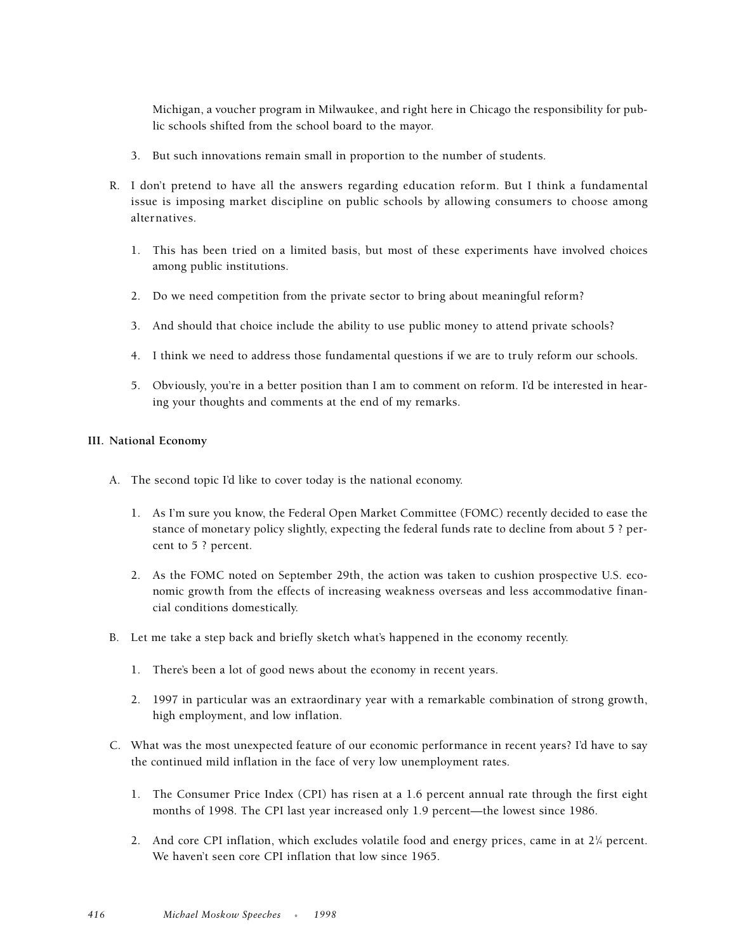Michigan, a voucher program in Milwaukee, and right here in Chicago the responsibility for public schools shifted from the school board to the mayor.

- 3. But such innovations remain small in proportion to the number of students.
- R. I don't pretend to have all the answers regarding education reform. But I think a fundamental issue is imposing market discipline on public schools by allowing consumers to choose among alternatives.
	- 1. This has been tried on a limited basis, but most of these experiments have involved choices among public institutions.
	- 2. Do we need competition from the private sector to bring about meaningful reform?
	- 3. And should that choice include the ability to use public money to attend private schools?
	- 4. I think we need to address those fundamental questions if we are to truly reform our schools.
	- 5. Obviously, you're in a better position than I am to comment on reform. I'd be interested in hearing your thoughts and comments at the end of my remarks.

### **III. National Economy**

- A. The second topic I'd like to cover today is the national economy.
	- 1. As I'm sure you know, the Federal Open Market Committee (FOMC) recently decided to ease the stance of monetary policy slightly, expecting the federal funds rate to decline from about 5 ? percent to 5 ? percent.
	- 2. As the FOMC noted on September 29th, the action was taken to cushion prospective U.S. economic growth from the effects of increasing weakness overseas and less accommodative financial conditions domestically.
- B. Let me take a step back and briefly sketch what's happened in the economy recently.
	- 1. There's been a lot of good news about the economy in recent years.
	- 2. 1997 in particular was an extraordinary year with a remarkable combination of strong growth, high employment, and low inflation.
- C. What was the most unexpected feature of our economic performance in recent years? I'd have to say the continued mild inflation in the face of very low unemployment rates.
	- 1. The Consumer Price Index (CPI) has risen at a 1.6 percent annual rate through the first eight months of 1998. The CPI last year increased only 1.9 percent—the lowest since 1986.
	- 2. And core CPI inflation, which excludes volatile food and energy prices, came in at  $2\frac{1}{4}$  percent. We haven't seen core CPI inflation that low since 1965.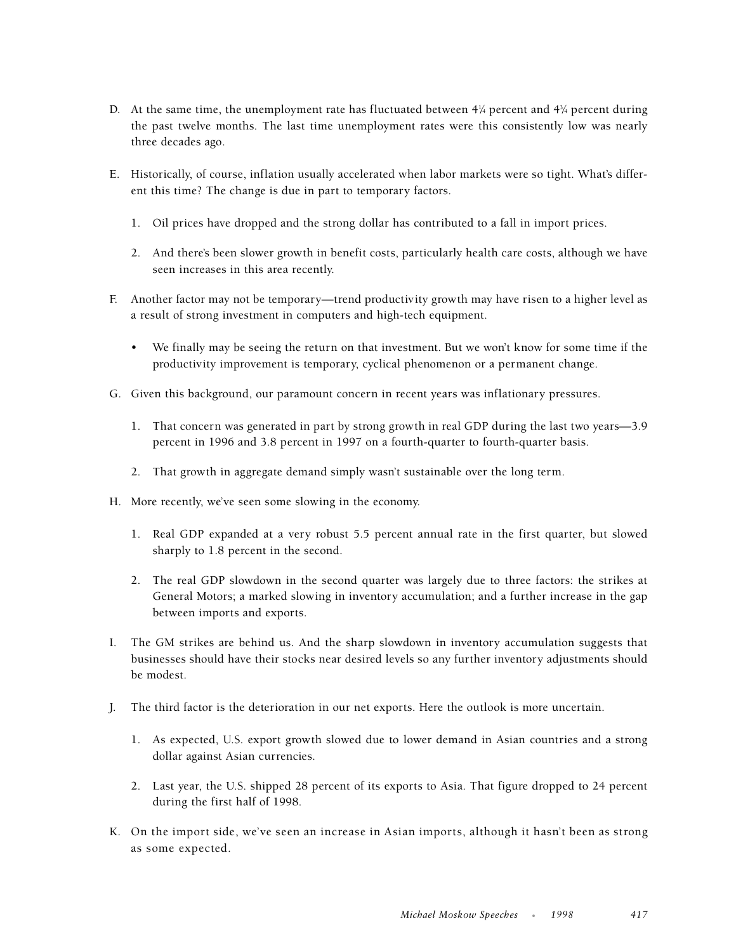- D. At the same time, the unemployment rate has fluctuated between  $4\frac{1}{4}$  percent and  $4\frac{3}{4}$  percent during the past twelve months. The last time unemployment rates were this consistently low was nearly three decades ago.
- E. Historically, of course, inflation usually accelerated when labor markets were so tight. What's different this time? The change is due in part to temporary factors.
	- 1. Oil prices have dropped and the strong dollar has contributed to a fall in import prices.
	- 2. And there's been slower growth in benefit costs, particularly health care costs, although we have seen increases in this area recently.
- F. Another factor may not be temporary—trend productivity growth may have risen to a higher level as a result of strong investment in computers and high-tech equipment.
	- We finally may be seeing the return on that investment. But we won't know for some time if the productivity improvement is temporary, cyclical phenomenon or a permanent change.
- G. Given this background, our paramount concern in recent years was inflationary pressures.
	- 1. That concern was generated in part by strong growth in real GDP during the last two years—3.9 percent in 1996 and 3.8 percent in 1997 on a fourth-quarter to fourth-quarter basis.
	- 2. That growth in aggregate demand simply wasn't sustainable over the long term.
- H. More recently, we've seen some slowing in the economy.
	- 1. Real GDP expanded at a very robust 5.5 percent annual rate in the first quarter, but slowed sharply to 1.8 percent in the second.
	- 2. The real GDP slowdown in the second quarter was largely due to three factors: the strikes at General Motors; a marked slowing in inventory accumulation; and a further increase in the gap between imports and exports.
- I. The GM strikes are behind us. And the sharp slowdown in inventory accumulation suggests that businesses should have their stocks near desired levels so any further inventory adjustments should be modest.
- J. The third factor is the deterioration in our net exports. Here the outlook is more uncertain.
	- 1. As expected, U.S. export growth slowed due to lower demand in Asian countries and a strong dollar against Asian currencies.
	- 2. Last year, the U.S. shipped 28 percent of its exports to Asia. That figure dropped to 24 percent during the first half of 1998.
- K. On the import side, we've seen an increase in Asian imports, although it hasn't been as strong as some expected.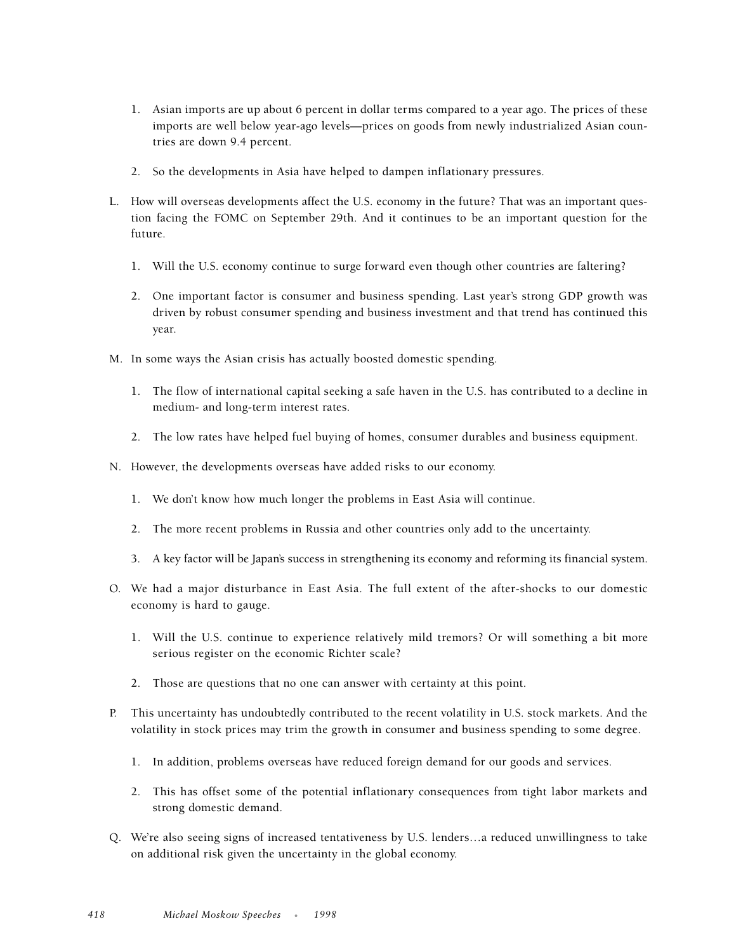- 1. Asian imports are up about 6 percent in dollar terms compared to a year ago. The prices of these imports are well below year-ago levels—prices on goods from newly industrialized Asian countries are down 9.4 percent.
- 2. So the developments in Asia have helped to dampen inflationary pressures.
- L. How will overseas developments affect the U.S. economy in the future? That was an important question facing the FOMC on September 29th. And it continues to be an important question for the future.
	- 1. Will the U.S. economy continue to surge forward even though other countries are faltering?
	- 2. One important factor is consumer and business spending. Last year's strong GDP growth was driven by robust consumer spending and business investment and that trend has continued this year.
- M. In some ways the Asian crisis has actually boosted domestic spending.
	- 1. The flow of international capital seeking a safe haven in the U.S. has contributed to a decline in medium- and long-term interest rates.
	- 2. The low rates have helped fuel buying of homes, consumer durables and business equipment.
- N. However, the developments overseas have added risks to our economy.
	- 1. We don't know how much longer the problems in East Asia will continue.
	- 2. The more recent problems in Russia and other countries only add to the uncertainty.
	- 3. A key factor will be Japan's success in strengthening its economy and reforming its financial system.
- O. We had a major disturbance in East Asia. The full extent of the after-shocks to our domestic economy is hard to gauge.
	- 1. Will the U.S. continue to experience relatively mild tremors? Or will something a bit more serious register on the economic Richter scale?
	- 2. Those are questions that no one can answer with certainty at this point.
- P. This uncertainty has undoubtedly contributed to the recent volatility in U.S. stock markets. And the volatility in stock prices may trim the growth in consumer and business spending to some degree.
	- 1. In addition, problems overseas have reduced foreign demand for our goods and services.
	- 2. This has offset some of the potential inflationary consequences from tight labor markets and strong domestic demand.
- Q. We're also seeing signs of increased tentativeness by U.S. lenders…a reduced unwillingness to take on additional risk given the uncertainty in the global economy.